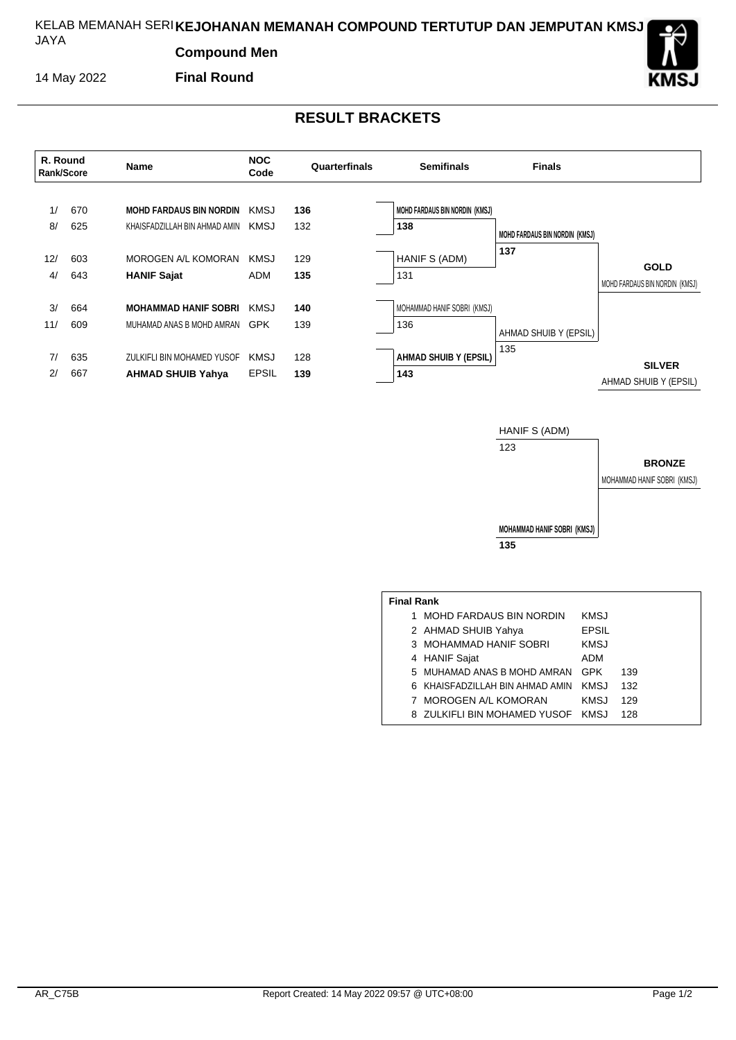#### KELAB MEMANAH SERI **KEJOHANAN MEMANAH COMPOUND TERTUTUP DAN JEMPUTAN KMSJ** JAYA

**Compound Men**

14 May 2022

**Final Round**

## **RESULT BRACKETS**



**BRONZE**

MOHAMMAD HANIF SOBRI (KMSJ)

**MOHAMMAD HANIF SOBRI (KMSJ) 135**

| <b>Final Rank</b> |                                   |              |     |  |  |  |  |  |  |
|-------------------|-----------------------------------|--------------|-----|--|--|--|--|--|--|
|                   | 1 MOHD FARDAUS BIN NORDIN         | KMSJ         |     |  |  |  |  |  |  |
|                   | 2 AHMAD SHUIB Yahya               | <b>EPSIL</b> |     |  |  |  |  |  |  |
|                   | 3 MOHAMMAD HANIF SOBRI            | <b>KMSJ</b>  |     |  |  |  |  |  |  |
|                   | 4 HANIF Sajat                     | ADM          |     |  |  |  |  |  |  |
|                   | 5 MUHAMAD ANAS B MOHD AMRAN       | GPK          | 139 |  |  |  |  |  |  |
|                   | 6 KHAISFADZILLAH BIN AHMAD AMIN   | KMSJ         | 132 |  |  |  |  |  |  |
|                   | 7 MOROGEN A/L KOMORAN             | KMSJ         | 129 |  |  |  |  |  |  |
|                   | 8 ZULKIFLI BIN MOHAMED YUSOF KMSJ |              | 128 |  |  |  |  |  |  |